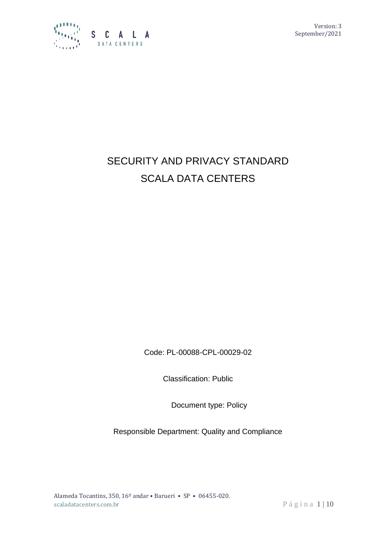

Version: 3 September/2021

# SECURITY AND PRIVACY STANDARD SCALA DATA CENTERS

Code: PL-00088-CPL-00029-02

Classification: Public

Document type: Policy

Responsible Department: Quality and Compliance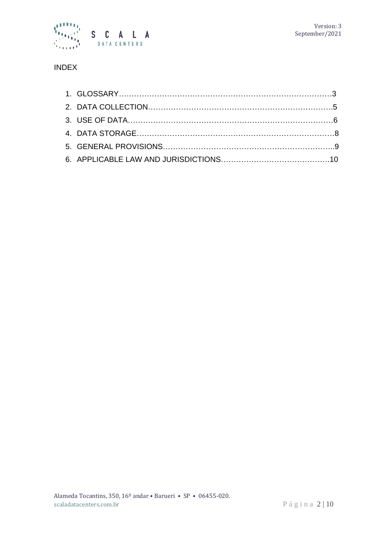

# INDEX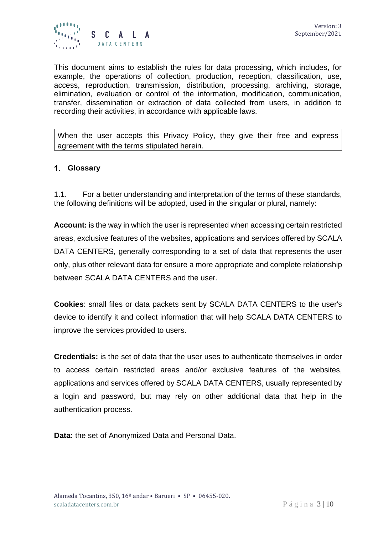

This document aims to establish the rules for data processing, which includes, for example, the operations of collection, production, reception, classification, use, access, reproduction, transmission, distribution, processing, archiving, storage, elimination, evaluation or control of the information, modification, communication, transfer, dissemination or extraction of data collected from users, in addition to recording their activities, in accordance with applicable laws.

When the user accepts this Privacy Policy, they give their free and express agreement with the terms stipulated herein.

#### **Glossary**

1.1. For a better understanding and interpretation of the terms of these standards, the following definitions will be adopted, used in the singular or plural, namely:

**Account:** is the way in which the user is represented when accessing certain restricted areas, exclusive features of the websites, applications and services offered by SCALA DATA CENTERS, generally corresponding to a set of data that represents the user only, plus other relevant data for ensure a more appropriate and complete relationship between SCALA DATA CENTERS and the user.

**Cookies**: small files or data packets sent by SCALA DATA CENTERS to the user's device to identify it and collect information that will help SCALA DATA CENTERS to improve the services provided to users.

**Credentials:** is the set of data that the user uses to authenticate themselves in order to access certain restricted areas and/or exclusive features of the websites, applications and services offered by SCALA DATA CENTERS, usually represented by a login and password, but may rely on other additional data that help in the authentication process.

**Data:** the set of Anonymized Data and Personal Data.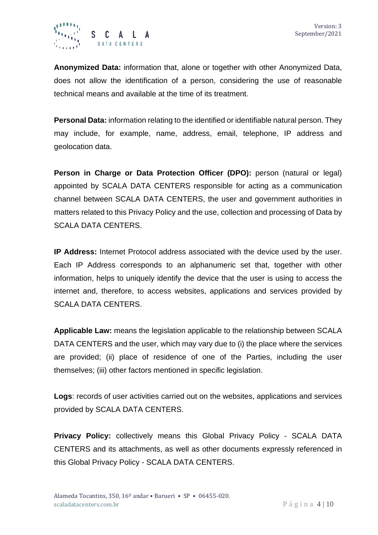

**Anonymized Data:** information that, alone or together with other Anonymized Data, does not allow the identification of a person, considering the use of reasonable technical means and available at the time of its treatment.

**Personal Data:** information relating to the identified or identifiable natural person. They may include, for example, name, address, email, telephone, IP address and geolocation data.

**Person in Charge or Data Protection Officer (DPO):** person (natural or legal) appointed by SCALA DATA CENTERS responsible for acting as a communication channel between SCALA DATA CENTERS, the user and government authorities in matters related to this Privacy Policy and the use, collection and processing of Data by SCALA DATA CENTERS.

**IP Address:** Internet Protocol address associated with the device used by the user. Each IP Address corresponds to an alphanumeric set that, together with other information, helps to uniquely identify the device that the user is using to access the internet and, therefore, to access websites, applications and services provided by SCALA DATA CENTERS.

**Applicable Law:** means the legislation applicable to the relationship between SCALA DATA CENTERS and the user, which may vary due to (i) the place where the services are provided; (ii) place of residence of one of the Parties, including the user themselves; (iii) other factors mentioned in specific legislation.

**Logs**: records of user activities carried out on the websites, applications and services provided by SCALA DATA CENTERS.

**Privacy Policy:** collectively means this Global Privacy Policy - SCALA DATA CENTERS and its attachments, as well as other documents expressly referenced in this Global Privacy Policy - SCALA DATA CENTERS.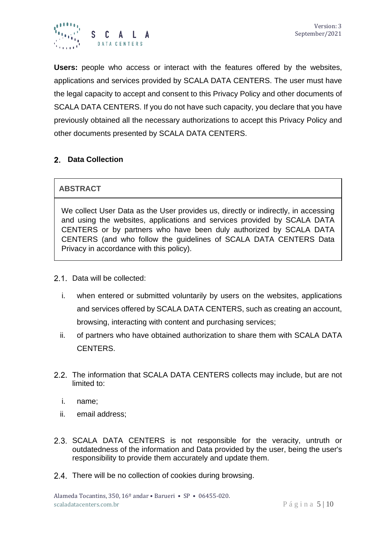

**Users:** people who access or interact with the features offered by the websites, applications and services provided by SCALA DATA CENTERS. The user must have the legal capacity to accept and consent to this Privacy Policy and other documents of SCALA DATA CENTERS. If you do not have such capacity, you declare that you have previously obtained all the necessary authorizations to accept this Privacy Policy and other documents presented by SCALA DATA CENTERS.

## **Data Collection**

## **ABSTRACT**

We collect User Data as the User provides us, directly or indirectly, in accessing and using the websites, applications and services provided by SCALA DATA CENTERS or by partners who have been duly authorized by SCALA DATA CENTERS (and who follow the guidelines of SCALA DATA CENTERS Data Privacy in accordance with this policy).

- 2.1. Data will be collected:
	- i. when entered or submitted voluntarily by users on the websites, applications and services offered by SCALA DATA CENTERS, such as creating an account, browsing, interacting with content and purchasing services;
	- ii. of partners who have obtained authorization to share them with SCALA DATA CENTERS.
- 2.2. The information that SCALA DATA CENTERS collects may include, but are not limited to:
	- i. name;
	- ii. email address;
- 2.3. SCALA DATA CENTERS is not responsible for the veracity, untruth or outdatedness of the information and Data provided by the user, being the user's responsibility to provide them accurately and update them.
- 2.4. There will be no collection of cookies during browsing.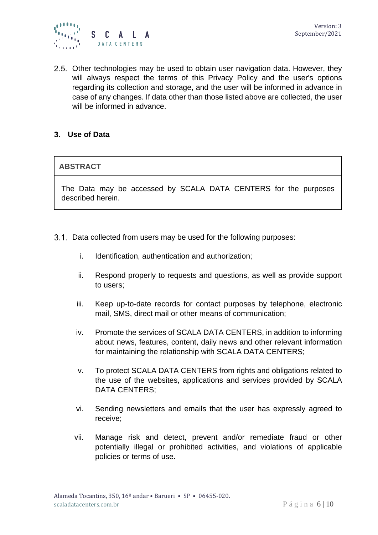

2.5. Other technologies may be used to obtain user navigation data. However, they will always respect the terms of this Privacy Policy and the user's options regarding its collection and storage, and the user will be informed in advance in case of any changes. If data other than those listed above are collected, the user will be informed in advance.

#### **Use of Data**

#### **ABSTRACT**

The Data may be accessed by SCALA DATA CENTERS for the purposes described herein.

- 3.1. Data collected from users may be used for the following purposes:
	- i. Identification, authentication and authorization;
	- ii. Respond properly to requests and questions, as well as provide support to users;
	- iii. Keep up-to-date records for contact purposes by telephone, electronic mail, SMS, direct mail or other means of communication;
	- iv. Promote the services of SCALA DATA CENTERS, in addition to informing about news, features, content, daily news and other relevant information for maintaining the relationship with SCALA DATA CENTERS;
	- v. To protect SCALA DATA CENTERS from rights and obligations related to the use of the websites, applications and services provided by SCALA DATA CENTERS;
	- vi. Sending newsletters and emails that the user has expressly agreed to receive;
	- vii. Manage risk and detect, prevent and/or remediate fraud or other potentially illegal or prohibited activities, and violations of applicable policies or terms of use.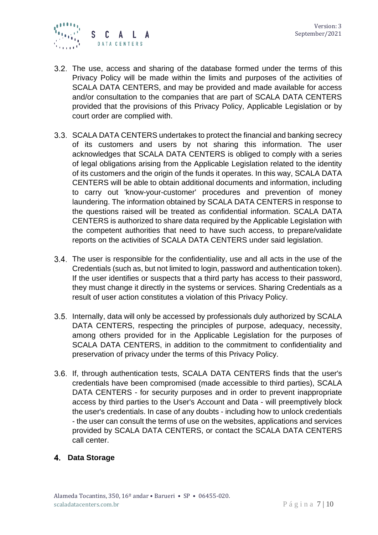

- 3.2. The use, access and sharing of the database formed under the terms of this Privacy Policy will be made within the limits and purposes of the activities of SCALA DATA CENTERS, and may be provided and made available for access and/or consultation to the companies that are part of SCALA DATA CENTERS provided that the provisions of this Privacy Policy, Applicable Legislation or by court order are complied with.
- SCALA DATA CENTERS undertakes to protect the financial and banking secrecy of its customers and users by not sharing this information. The user acknowledges that SCALA DATA CENTERS is obliged to comply with a series of legal obligations arising from the Applicable Legislation related to the identity of its customers and the origin of the funds it operates. In this way, SCALA DATA CENTERS will be able to obtain additional documents and information, including to carry out 'know-your-customer' procedures and prevention of money laundering. The information obtained by SCALA DATA CENTERS in response to the questions raised will be treated as confidential information. SCALA DATA CENTERS is authorized to share data required by the Applicable Legislation with the competent authorities that need to have such access, to prepare/validate reports on the activities of SCALA DATA CENTERS under said legislation.
- The user is responsible for the confidentiality, use and all acts in the use of the Credentials (such as, but not limited to login, password and authentication token). If the user identifies or suspects that a third party has access to their password, they must change it directly in the systems or services. Sharing Credentials as a result of user action constitutes a violation of this Privacy Policy.
- 3.5. Internally, data will only be accessed by professionals duly authorized by SCALA DATA CENTERS, respecting the principles of purpose, adequacy, necessity, among others provided for in the Applicable Legislation for the purposes of SCALA DATA CENTERS, in addition to the commitment to confidentiality and preservation of privacy under the terms of this Privacy Policy.
- 3.6. If, through authentication tests, SCALA DATA CENTERS finds that the user's credentials have been compromised (made accessible to third parties), SCALA DATA CENTERS - for security purposes and in order to prevent inappropriate access by third parties to the User's Account and Data - will preemptively block the user's credentials. In case of any doubts - including how to unlock credentials - the user can consult the terms of use on the websites, applications and services provided by SCALA DATA CENTERS, or contact the SCALA DATA CENTERS call center.

#### **Data Storage**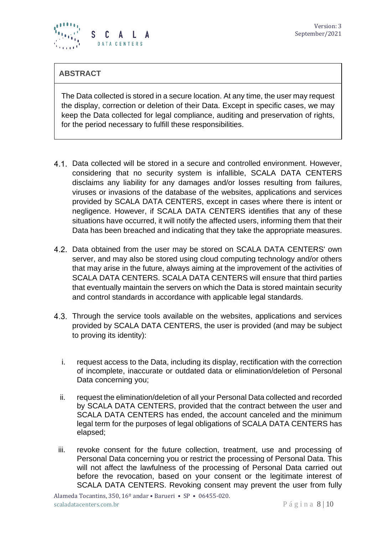

## **ABSTRACT**

The Data collected is stored in a secure location. At any time, the user may request the display, correction or deletion of their Data. Except in specific cases, we may keep the Data collected for legal compliance, auditing and preservation of rights, for the period necessary to fulfill these responsibilities.

- 4.1. Data collected will be stored in a secure and controlled environment. However, considering that no security system is infallible, SCALA DATA CENTERS disclaims any liability for any damages and/or losses resulting from failures, viruses or invasions of the database of the websites, applications and services provided by SCALA DATA CENTERS, except in cases where there is intent or negligence. However, if SCALA DATA CENTERS identifies that any of these situations have occurred, it will notify the affected users, informing them that their Data has been breached and indicating that they take the appropriate measures.
- 4.2. Data obtained from the user may be stored on SCALA DATA CENTERS' own server, and may also be stored using cloud computing technology and/or others that may arise in the future, always aiming at the improvement of the activities of SCALA DATA CENTERS. SCALA DATA CENTERS will ensure that third parties that eventually maintain the servers on which the Data is stored maintain security and control standards in accordance with applicable legal standards.
- 4.3. Through the service tools available on the websites, applications and services provided by SCALA DATA CENTERS, the user is provided (and may be subject to proving its identity):
	- i. request access to the Data, including its display, rectification with the correction of incomplete, inaccurate or outdated data or elimination/deletion of Personal Data concerning you;
	- ii. request the elimination/deletion of all your Personal Data collected and recorded by SCALA DATA CENTERS, provided that the contract between the user and SCALA DATA CENTERS has ended, the account canceled and the minimum legal term for the purposes of legal obligations of SCALA DATA CENTERS has elapsed;
	- iii. revoke consent for the future collection, treatment, use and processing of Personal Data concerning you or restrict the processing of Personal Data. This will not affect the lawfulness of the processing of Personal Data carried out before the revocation, based on your consent or the legitimate interest of SCALA DATA CENTERS. Revoking consent may prevent the user from fully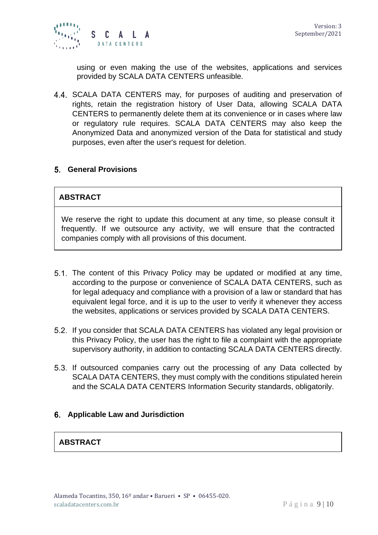using or even making the use of the websites, applications and services provided by SCALA DATA CENTERS unfeasible.

4.4. SCALA DATA CENTERS may, for purposes of auditing and preservation of rights, retain the registration history of User Data, allowing SCALA DATA CENTERS to permanently delete them at its convenience or in cases where law or regulatory rule requires. SCALA DATA CENTERS may also keep the Anonymized Data and anonymized version of the Data for statistical and study purposes, even after the user's request for deletion.

#### **General Provisions**

#### **ABSTRACT**

We reserve the right to update this document at any time, so please consult it frequently. If we outsource any activity, we will ensure that the contracted companies comply with all provisions of this document.

- 5.1. The content of this Privacy Policy may be updated or modified at any time, according to the purpose or convenience of SCALA DATA CENTERS, such as for legal adequacy and compliance with a provision of a law or standard that has equivalent legal force, and it is up to the user to verify it whenever they access the websites, applications or services provided by SCALA DATA CENTERS.
- 5.2. If you consider that SCALA DATA CENTERS has violated any legal provision or this Privacy Policy, the user has the right to file a complaint with the appropriate supervisory authority, in addition to contacting SCALA DATA CENTERS directly.
- 5.3. If outsourced companies carry out the processing of any Data collected by SCALA DATA CENTERS, they must comply with the conditions stipulated herein and the SCALA DATA CENTERS Information Security standards, obligatorily.

#### **Applicable Law and Jurisdiction**

## **ABSTRACT**